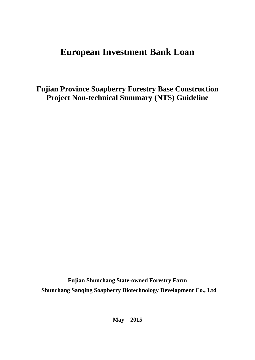# **European Investment Bank Loan**

**Fujian Province Soapberry Forestry Base Construction Project Non-technical Summary (NTS) Guideline**

**Fujian Shunchang State-owned Forestry Farm Shunchang Sanqing Soapberry Biotechnology Development Co., Ltd** 

**May 2015**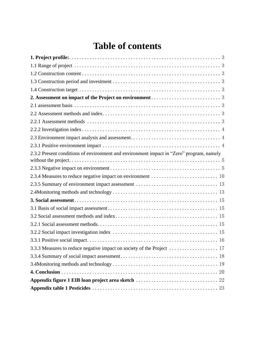# **Table of contents**

| 2.3.2 Present conditions of environment and environment impact in "Zero" program, namely |
|------------------------------------------------------------------------------------------|
|                                                                                          |
| 2.3.4 Measures to reduce negative impact on environment  10                              |
|                                                                                          |
|                                                                                          |
|                                                                                          |
|                                                                                          |
|                                                                                          |
|                                                                                          |
|                                                                                          |
|                                                                                          |
|                                                                                          |
|                                                                                          |
|                                                                                          |
|                                                                                          |
|                                                                                          |
|                                                                                          |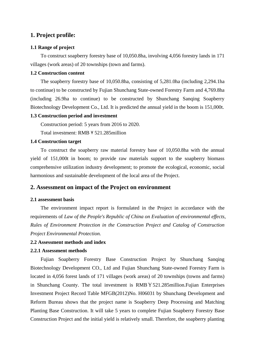# <span id="page-2-0"></span>**1. Project profile:**

#### <span id="page-2-1"></span>**1.1 Range of project**

To construct soapberry forestry base of 10,050.8ha, involving 4,056 forestry lands in 171 villages (work areas) of 20 townships (town and farms).

### <span id="page-2-2"></span>**1.2 Construction content**

The soapberry forestry base of 10,050.8ha, consisting of 5,281.0ha (including 2,294.1ha to continue) to be constructed by Fujian Shunchang State-owned Forestry Farm and 4,769.8ha (including 26.9ha to continue) to be constructed by Shunchang Sanqing Soapberry Biotechnology Development Co., Ltd. It is predicted the annual yield in the boom is 151,000t.

#### <span id="page-2-3"></span>**1.3 Construction period and investment**

Construction period: 5 years from 2016 to 2020.

Total investment: RMB¥521.285million

#### <span id="page-2-4"></span>**1.4 Construction target**

To construct the soapberry raw material forestry base of 10,050.8ha with the annual yield of 151,000t in boom; to provide raw materials support to the soapberry biomass comprehensive utilization industry development; to promote the ecological, economic, social harmonious and sustainable development of the local area of the Project.

## <span id="page-2-5"></span>**2. Assessment on impact of the Project on environment**

#### <span id="page-2-6"></span>**2.1 assessment basis**

The environment impact report is formulated in the Project in accordance with the requirements of *Law of the People's Republic of China on Evaluation of environmental effects, Rules of Environment Protection in the Construction Project and Catalog of Construction Project Environmental Protection.*

### <span id="page-2-7"></span>**2.2 Assessment methods and index**

#### <span id="page-2-8"></span>**2.2.1 Assessment methods**

Fujian Soapberry Forestry Base Construction Project by Shunchang Sanqing Biotechnology Development CO., Ltd and Fujian Shunchang State-owned Forestry Farm is located in 4,056 forest lands of 171 villages (work areas) of 20 townships (towns and farms) in Shunchang County. The total investment is RMB¥521.285million.Fujian Enterprises Investment Project Record Table MFGB(2012)No. H06031 by Shunchang Development and Reform Bureau shows that the project name is Soapberry Deep Processing and Matching Planting Base Construction. It will take 5 years to complete Fujian Soapberry Forestry Base Construction Project and the initial yield is relatively small. Therefore, the soapberry planting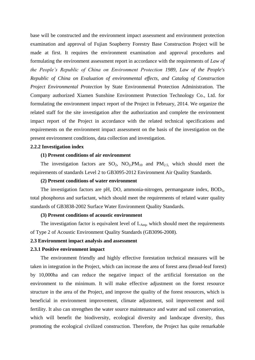base will be constructed and the environment impact assessment and environment protection examination and approval of Fujian Soapberry Forestry Base Construction Project will be made at first. It requires the environment examination and approval procedures and formulating the environment assessment report in accordance with the requirements of *Law of the People's Republic of China on Environment Protection 1989, Law of the People's Republic of China on Evaluation of environmental effects, and Catalog of Construction Project Environmental Protection* by State Environmental Protection Administration*.* The Company authorized Xiamen Sunshine Environment Protection Technology Co., Ltd. for formulating the environment impact report of the Project in February, 2014. We organize the related staff for the site investigation after the authorization and complete the environment impact report of the Project in accordance with the related technical specifications and requirements on the environment impact assessment on the basis of the investigation on the present environment conditions, data collection and investigation.

#### <span id="page-3-0"></span>**2.2.2 Investigation index**

#### **(1) Present conditions of air environment**

The investigation factors are  $SO_2$ ,  $NO_2, PM_{10}$  and  $PM_{2.5}$ , which should meet the requirements of standards Level 2 to GB3095-2012 Environment Air Quality Standards.

#### **(2) Present conditions of water environment**

The investigation factors are pH, DO, ammonia-nitrogen, permanganate index,  $BOD<sub>5</sub>$ , total phosphorus and surfactant, which should meet the requirements of related water quality standards of GB3838-2002 Surface Water Environment Quality Standards.

#### **(3) Present conditions of acoustic environment**

The investigation factor is equivalent level of  $L_{Aea}$ , which should meet the requirements of Type 2 of Acoustic Environment Quality Standards (GB3096-2008).

#### <span id="page-3-1"></span>**2.3 Environment impact analysis and assessment**

#### <span id="page-3-2"></span>**2.3.1 Positive environment impact**

The environment friendly and highly effective forestation technical measures will be taken in integration in the Project, which can increase the area of forest area (broad-leaf forest) by 10,000ha and can reduce the negative impact of the artificial forestation on the environment to the minimum. It will make effective adjustment on the forest resource structure in the area of the Project, and improve the quality of the forest resources, which is beneficial in environment improvement, climate adjustment, soil improvement and soil fertility. It also can strengthen the water source maintenance and water and soil conservation, which will benefit the biodiversity, ecological diversity and landscape diversity, thus promoting the ecological civilized construction. Therefore, the Project has quite remarkable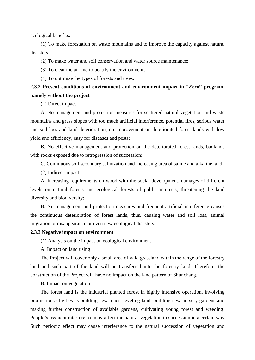ecological benefits.

(1) To make forestation on waste mountains and to improve the capacity against natural disasters;

(2) To make water and soil conservation and water source maintenance;

(3) To clear the air and to beatify the environment;

(4) To optimize the types of forests and trees.

# <span id="page-4-0"></span>**2.3.2 Present conditions of environment and environment impact in "Zero" program, namely without the project**

(1) Direct impact

A. No management and protection measures for scattered natural vegetation and waste mountains and grass slopes with too much artificial interference, potential fires, serious water and soil loss and land deterioration, no improvement on deteriorated forest lands with low yield and efficiency, easy for diseases and pests;

B. No effective management and protection on the deteriorated forest lands, badlands with rocks exposed due to retrogression of succession;

C. Continuous soil secondary salinization and increasing area of saline and alkaline land.

(2) Indirect impact

A. Increasing requirements on wood with the social development, damages of different levels on natural forests and ecological forests of public interests, threatening the land diversity and biodiversity;

B. No management and protection measures and frequent artificial interference causes the continuous deterioration of forest lands, thus, causing water and soil loss, animal migration or disappearance or even new ecological disasters.

#### <span id="page-4-1"></span>**2.3.3 Negative impact on environment**

(1) Analysis on the impact on ecological environment

A. Impact on land using

The Project will cover only a small area of wild grassland within the range of the forestry land and such part of the land will be transferred into the forestry land. Therefore, the construction of the Project will have no impact on the land pattern of Shunchang.

B. Impact on vegetation

The forest land is the industrial planted forest in highly intensive operation, involving production activities as building new roads, leveling land, building new nursery gardens and making further construction of available gardens, cultivating young forest and weeding. People's frequent interference may affect the natural vegetation in succession in a certain way. Such periodic effect may cause interference to the natural succession of vegetation and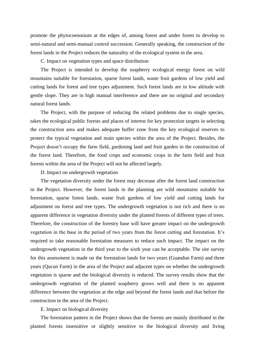promote the phytocoenosium at the edges of, among forest and under forest to develop to semi-natural and semi-manual control succession. Generally speaking, the construction of the forest lands in the Project reduces the naturality of the ecological system in the area.

C. Impact on vegetation types and space distribution

The Project is intended to develop the soapberry ecological energy forest on wild mountains suitable for forestation, sparse forest lands, waste fruit gardens of low yield and cutting lands for forest and tree types adjustment. Such forest lands are in low altitude with gentle slope. They are in high manual interference and there are no original and secondary natural forest lands.

The Project, with the purpose of reducing the related problems due to single species, takes the ecological public forests and places of interest for key protection targets in selecting the construction area and makes adequate buffer zone from the key ecological reserves to protect the typical vegetation and main species within the area of the Project. Besides, the Project doesn't occupy the farm field, gardening land and fruit garden in the construction of the forest land. Therefore, the food crops and economic crops in the farm field and fruit forests within the area of the Project will not be affected largely.

D. Impact on undergrowth vegetation

The vegetation diversity under the forest may decrease after the forest land construction in the Project. However, the forest lands in the planning are wild mountains suitable for forestation, sparse forest lands, waste fruit gardens of low yield and cutting lands for adjustment on forest and tree types. The undergrowth vegetation is not rich and there is no apparent difference in vegetation diversity under the planted forests of different types of trees. Therefore, the construction of the forestry base will have greater impact on the undergrowth vegetation in the base in the period of two years from the forest cutting and forestation. It's required to take reasonable forestation measures to reduce such impact. The impact on the undergrowth vegetation in the third year to the sixth year can be acceptable. The site survey for this assessment is made on the forestation lands for two years (Guandun Farm) and three years (Qucun Farm) in the area of the Project and adjacent types on whether the undergrowth vegetation is sparse and the biological diversity is reduced. The survey results show that the undergrowth vegetation of the planted soapberry grows well and there is no apparent difference between the vegetation at the edge and beyond the forest lands and that before the construction in the area of the Project.

E. Impact on biological diversity

The forestation pattern in the Project shows that the forests are mainly distributed in the planted forests insensitive or slightly sensitive to the biological diversity and living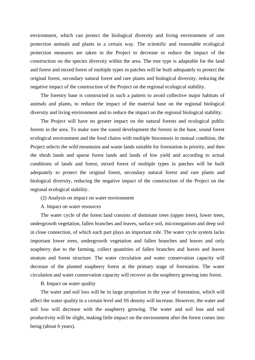environment, which can protect the biological diversity and living environment of rare protection animals and plants in a certain way. The scientific and reasonable ecological protection measures are taken in the Project to decrease or reduce the impact of the construction on the species diversity within the area. The tree type is adaptable for the land and forest and mixed forest of multiple types in patches will be built adequately to protect the original forest, secondary natural forest and rare plants and biological diversity, reducing the negative impact of the construction of the Project on the regional ecological stability.

The forestry base is constructed in such a pattern to avoid collective major habitats of animals and plants, to reduce the impact of the material base on the regional biological diversity and living environment and to reduce the impact on the regional biological stability.

The Project will have no greater impact on the natural forests and ecological public forests in the area. To make sure the sound development the forests in the base, sound forest ecological environment and the food chains with multiple biocenosis in mutual condition, the Project selects the wild mountains and waste lands suitable for forestation in priority, and then the shrub lands and sparse forest lands and lands of low yield and according to actual conditions of lands and forest, mixed forest of multiple types in patches will be built adequately to protect the original forest, secondary natural forest and rare plants and biological diversity, reducing the negative impact of the construction of the Project on the regional ecological stability.

(2) Analysis on impact on water environment

A. Impact on water resources

The water cycle of the forest land consists of dominate trees (upper trees), lower trees, undergrowth vegetation, fallen branches and leaves, surface soil, microorganism and deep soil in close connection, of which each part plays an important role. The water cycle system lacks important lower trees, undergrowth vegetation and fallen branches and leaves and only soapberry due to the farming, collect quantities of fallen branches and leaves and leaves stratum and forest structure. The water circulation and water conservation capacity will decrease of the planted soapberry forest at the primary stage of forestation. The water circulation and water conservation capacity will recover as the soapberry growing into forest.

B. Impact on water quality

The water and soil loss will be in large proportion in the year of forestation, which will affect the water quality in a certain level and SS density will increase. However, the water and soil loss will decrease with the soapberry growing. The water and soil loss and soil productivity will be slight, making little impact on the environment after the forest comes into being (about 6 years).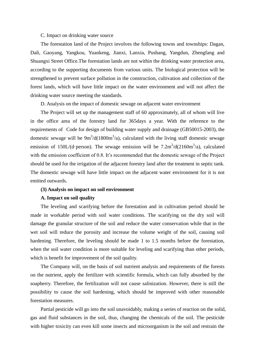#### C. Impact on drinking water source

The forestation land of the Project involves the following towns and townships: Dagan, Dali, Gaoyang, Yangkou, Yuankeng, Jianxi, Lanxia, Pushang, Yangdun, Zhengfang and Shuangxi Street Office.The forestation lands are not within the drinking water protection area, according to the supporting documents from various units. The biological protection will be strengthened to prevent surface pollution in the construction, cultivation and collection of the forest lands, which will have little impact on the water environment and will not affect the drinking water source meeting the standards.

D. Analysis on the impact of domestic sewage on adjacent water environment

The Project will set up the management staff of 60 approximately, all of whom will live in the office area of the forestry land for 365days a year. With the reference to the requirements of Code for design of building water supply and drainage (GB50015-2003), the domestic sewage will be  $9m^3/d(1800m^3/a)$ , calculated with the living staff domestic sewage emission of 150L/(d·person). The sewage emission will be  $7.2 \text{m}^3/\text{d}(2160 \text{m}^3/\text{a})$ , calculated with the emission coefficient of 0.8. It's recommended that the domestic sewage of the Project should be used for the irrigation of the adjacent forestry land after the treatment in septic tank. The domestic sewage will have little impact on the adjacent water environment for it is not emitted outwards.

#### **(3) Analysis on impact on soil environment**

#### **A. Impact on soil quality**

The leveling and scarifying before the forestation and in cultivation period should be made in workable period with soil water conditions. The scarifying on the dry soil will damage the granular structure of the soil and reduce the water conservation while that in the wet soil will reduce the porosity and increase the volume weight of the soil, causing soil hardening. Therefore, the leveling should be made 1 to 1.5 months before the forestation, when the soil water condition is more suitable for leveling and scarifying than other periods, which is benefit for improvement of the soil quality.

The Company will, on the basis of soil nutrient analysis and requirements of the forests on the nutrient, apply the fertilizer with scientific formula, which can fully absorbed by the soapberry. Therefore, the fertilization will not cause salinization. However, there is still the possibility to cause the soil hardening, which should be improved with other reasonable forestation measures.

Partial pesticide will go into the soil unavoidably, making a series of reaction on the solid, gas and fluid substances in the soil, thus, changing the chemicals of the soil. The pesticide with higher toxicity can even kill some insects and microorganism in the soil and restrain the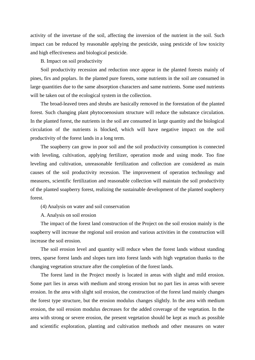activity of the invertase of the soil, affecting the inversion of the nutrient in the soil. Such impact can be reduced by reasonable applying the pesticide, using pesticide of low toxicity and high effectiveness and biological pesticide.

#### B. Impact on soil productivity

Soil productivity recession and reduction once appear in the planted forests mainly of pines, firs and poplars. In the planted pure forests, some nutrients in the soil are consumed in large quantities due to the same absorption characters and same nutrients. Some used nutrients will be taken out of the ecological system in the collection.

The broad-leaved trees and shrubs are basically removed in the forestation of the planted forest. Such changing plant phytocoenosium structure will reduce the substance circulation. In the planted forest, the nutrients in the soil are consumed in large quantity and the biological circulation of the nutrients is blocked, which will have negative impact on the soil productivity of the forest lands in a long term.

The soapberry can grow in poor soil and the soil productivity consumption is connected with leveling, cultivation, applying fertilizer, operation mode and using mode. Too fine leveling and cultivation, unreasonable fertilization and collection are considered as main causes of the soil productivity recession. The improvement of operation technology and measures, scientific fertilization and reasonable collection will maintain the soil productivity of the planted soapberry forest, realizing the sustainable development of the planted soapberry forest.

(4) Analysis on water and soil conservation

A. Analysis on soil erosion

The impact of the forest land construction of the Project on the soil erosion mainly is the soapberry will increase the regional soil erosion and various activities in the construction will increase the soil erosion.

The soil erosion level and quantity will reduce when the forest lands without standing trees, sparse forest lands and slopes turn into forest lands with high vegetation thanks to the changing vegetation structure after the completion of the forest lands.

The forest land in the Project mostly is located in areas with slight and mild erosion. Some part lies in areas with medium and strong erosion but no part lies in areas with severe erosion. In the area with slight soil erosion, the construction of the forest land mainly changes the forest type structure, but the erosion modulus changes slightly. In the area with medium erosion, the soil erosion modulus decreases for the added coverage of the vegetation. In the area with strong or severe erosion, the present vegetation should be kept as much as possible and scientific exploration, planting and cultivation methods and other measures on water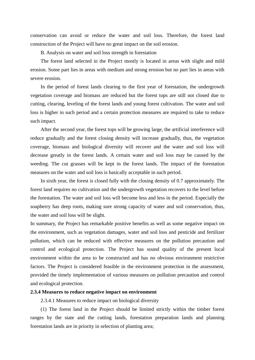conservation can avoid or reduce the water and soil loss. Therefore, the forest land construction of the Project will have no great impact on the soil erosion.

B. Analysis on water and soil loss strength in forestation

The forest land selected in the Project mostly is located in areas with slight and mild erosion. Some part lies in areas with medium and strong erosion but no part lies in areas with severe erosion.

In the period of forest lands clearing to the first year of forestation, the undergrowth vegetation coverage and biomass are reduced but the forest tops are still not closed due to cutting, clearing, leveling of the forest lands and young forest cultivation. The water and soil loss is higher in such period and a certain protection measures are required to take to reduce such impact.

After the second year, the forest tops will be growing large, the artificial interference will reduce gradually and the forest closing density will increase gradually, thus, the vegetation coverage, biomass and biological diversity will recover and the water and soil loss will decrease greatly in the forest lands. A certain water and soil loss may be caused by the weeding. The cut grasses will be kept in the forest lands. The impact of the forestation measures on the water and soil loss is basically acceptable in such period.

In sixth year, the forest is closed fully with the closing density of 0.7 approximately. The forest land requires no cultivation and the undergrowth vegetation recovers to the level before the forestation. The water and soil loss will become less and less in the period. Especially the soapberry has deep roots, making sure strong capacity of water and soil conservation, thus, the water and soil loss will be slight.

In summary, the Project has remarkable positive benefits as well as some negative impact on the environment, such as vegetation damages, water and soil loss and pesticide and fertilizer pollution, which can be reduced with effective measures on the pollution precaution and control and ecological protection. The Project has sound quality of the present local environment within the area to be constructed and has no obvious environment restrictive factors. The Project is considered feasible in the environment protection in the assessment, provided the timely implementation of various measures on pollution precaution and control and ecological protection.

#### <span id="page-9-0"></span>**2.3.4 Measures to reduce negative impact on environment**

2.3.4.1 Measures to reduce impact on biological diversity

(1) The forest land in the Project should be limited strictly within the timber forest ranges by the state and the cutting lands, forestation preparation lands and planning forestation lands are in priority in selection of planting area;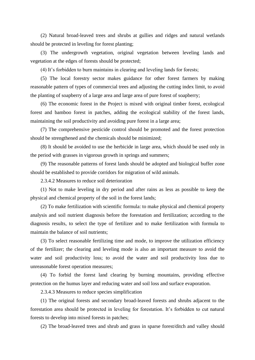(2) Natural broad-leaved trees and shrubs at gullies and ridges and natural wetlands should be protected in leveling for forest planting;

(3) The undergrowth vegetation, original vegetation between leveling lands and vegetation at the edges of forests should be protected;

(4) It's forbidden to burn maintains in clearing and leveling lands for forests;

(5) The local forestry sector makes guidance for other forest farmers by making reasonable pattern of types of commercial trees and adjusting the cutting index limit, to avoid the planting of soapberry of a large area and large area of pure forest of soapberry;

(6) The economic forest in the Project is mixed with original timber forest, ecological forest and bamboo forest in patches, adding the ecological stability of the forest lands, maintaining the soil productivity and avoiding pure forest in a large area;

(7) The comprehensive pesticide control should be promoted and the forest protection should be strengthened and the chemicals should be minimized;

(8) It should be avoided to use the herbicide in large area, which should be used only in the period with grasses in vigorous growth in springs and summers;

(9) The reasonable patterns of forest lands should be adopted and biological buffer zone should be established to provide corridors for migration of wild animals.

2.3.4.2 Measures to reduce soil deterioration

(1) Not to make leveling in dry period and after rains as less as possible to keep the physical and chemical property of the soil in the forest lands;

(2) To make fertilization with scientific formula: to make physical and chemical property analysis and soil nutrient diagnosis before the forestation and fertilization; according to the diagnosis results, to select the type of fertilizer and to make fertilization with formula to maintain the balance of soil nutrients;

(3) To select reasonable fertilizing time and mode, to improve the utilization efficiency of the fertilizer; the clearing and leveling mode is also an important measure to avoid the water and soil productivity loss; to avoid the water and soil productivity loss due to unreasonable forest operation measures;

(4) To forbid the forest land clearing by burning mountains, providing effective protection on the humus layer and reducing water and soil loss and surface evaporation.

2.3.4.3 Measures to reduce species simplification

(1) The original forests and secondary broad-leaved forests and shrubs adjacent to the forestation area should be protected in leveling for forestation. It's forbidden to cut natural forests to develop into mixed forests in patches;

(2) The broad-leaved trees and shrub and grass in sparse forest/ditch and valley should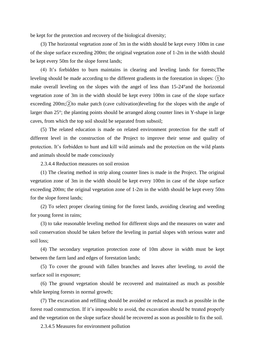be kept for the protection and recovery of the biological diversity;

(3) The horizontal vegetation zone of 3m in the width should be kept every 100m in case of the slope surface exceeding 200m; the original vegetation zone of 1-2m in the width should be kept every 50m for the slope forest lands;

(4) It's forbidden to burn maintains in clearing and leveling lands for forests;The leveling should be made according to the different gradients in the forestation in slopes:  $(1)$  to make overall leveling on the slopes with the angel of less than 15-24°and the horizontal vegetation zone of 3m in the width should be kept every 100m in case of the slope surface exceeding  $200m$ ;  $\Omega$  to make patch (cave cultivation)leveling for the slopes with the angle of larger than 25°; the planting points should be arranged along counter lines in Y-shape in large caves, from which the top soil should be separated from subsoil;

(5) The related education is made on related environment protection for the staff of different level in the construction of the Project to improve their sense and quality of protection. It's forbidden to hunt and kill wild animals and the protection on the wild plants and animals should be made consciously

2.3.4.4 Reduction measures on soil erosion

(1) The clearing method in strip along counter lines is made in the Project. The original vegetation zone of 3m in the width should be kept every 100m in case of the slope surface exceeding 200m; the original vegetation zone of 1-2m in the width should be kept every 50m for the slope forest lands;

(2) To select proper clearing timing for the forest lands, avoiding clearing and weeding for young forest in rains;

(3) to take reasonable leveling method for different slops and the measures on water and soil conservation should be taken before the leveling in partial slopes with serious water and soil loss;

(4) The secondary vegetation protection zone of 10m above in width must be kept between the farm land and edges of forestation lands;

(5) To cover the ground with fallen branches and leaves after leveling, to avoid the surface soil in exposure;

(6) The ground vegetation should be recovered and maintained as much as possible while keeping forests in normal growth;

(7) The excavation and refilling should be avoided or reduced as much as possible in the forest road construction. If it's impossible to avoid, the excavation should be treated properly and the vegetation on the slope surface should be recovered as soon as possible to fix the soil.

2.3.4.5 Measures for environment pollution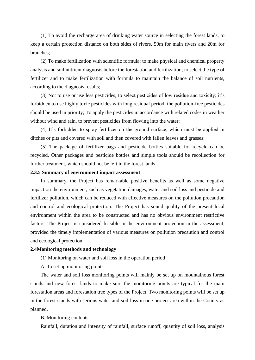(1) To avoid the recharge area of drinking water source in selecting the forest lands, to keep a certain protection distance on both sides of rivers, 50m for main rivers and 20m for branches;

(2) To make fertilization with scientific formula: to make physical and chemical property analysis and soil nutrient diagnosis before the forestation and fertilization; to select the type of fertilizer and to make fertilization with formula to maintain the balance of soil nutrients, according to the diagnosis results;

(3) Not to use or use less pesticides; to select pesticides of low residue and toxicity; it's forbidden to use highly toxic pesticides with long residual period; the pollution-free pesticides should be used in priority; To apply the pesticides in accordance with related codes in weather without wind and rain, to prevent pesticides from flowing into the water;

(4) It's forbidden to spray fertilizer on the ground surface, which must be applied in ditches or pits and covered with soil and then covered with fallen leaves and grasses;

(5) The package of fertilizer bags and pesticide bottles suitable for recycle can be recycled. Other packages and pesticide bottles and simple tools should be recollection for further treatment, which should not be left in the forest lands.

#### <span id="page-12-0"></span>**2.3.5 Summary of environment impact assessment**

In summary, the Project has remarkable positive benefits as well as some negative impact on the environment, such as vegetation damages, water and soil loss and pesticide and fertilizer pollution, which can be reduced with effective measures on the pollution precaution and control and ecological protection. The Project has sound quality of the present local environment within the area to be constructed and has no obvious environment restrictive factors. The Project is considered feasible in the environment protection in the assessment, provided the timely implementation of various measures on pollution precaution and control and ecological protection.

#### <span id="page-12-1"></span>**2.4Monitoring methods and technology**

(1) Monitoring on water and soil loss in the operation period

A. To set up monitoring points

The water and soil loss monitoring points will mainly be set up on mountainous forest stands and new forest lands to make sure the monitoring points are typical for the main forestation areas and forestation tree types of the Project. Two monitoring points will be set up in the forest stands with serious water and soil loss in one project area within the County as planned.

#### B. Monitoring contents

Rainfall, duration and intensity of rainfall, surface runoff, quantity of soil loss, analysis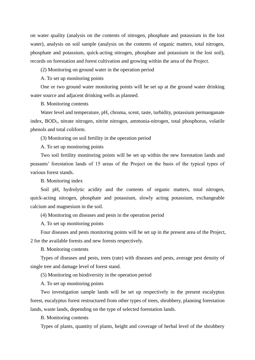on water quality (analysis on the contents of nitrogen, phosphate and potassium in the lost water), analysis on soil sample (analysis on the contents of organic matters, total nitrogen, phosphate and potassium, quick-acting nitrogen, phosphate and potassium in the lost soil), records on forestation and forest cultivation and growing within the area of the Project.

(2) Monitoring on ground water in the operation period

A. To set up monitoring points

One or two ground water monitoring points will be set up at the ground water drinking water source and adjacent drinking wells as planned.

B. Monitoring contents

Water level and temperature, pH, chroma, scent, taste, turbidity, potassium permanganate index, BOD<sub>5</sub>, nitrate nitrogen, nitrite nitrogen, ammonia-nitrogen, total phosphorus, volatile phenols and total coliform.

(3) Monitoring on soil fertility in the operation period

A. To set up monitoring points

Two soil fertility monitoring points will be set up within the new forestation lands and peasants' forestation lands of 15 areas of the Project on the basis of the typical types of various forest stands.

B. Monitoring index

Soil pH, hydrolytic acidity and the contents of organic matters, total nitrogen, quick-acting nitrogen, phosphate and potassium, slowly acting potassium, exchangeable calcium and magnesium in the soil.

(4) Monitoring on diseases and pests in the operation period

A. To set up monitoring points

Four diseases and pests monitoring points will be set up in the present area of the Project, 2 for the available forests and new forests respectively.

B. Monitoring contents

Types of diseases and pests, trees (rate) with diseases and pests, average pest density of single tree and damage level of forest stand.

(5) Monitoring on biodiversity in the operation period

A. To set up monitoring points

Two investigation sample lands will be set up respectively in the present eucalyptus forest, eucalyptus forest restructured from other types of trees, shrubbery, planning forestation lands, waste lands, depending on the type of selected forestation lands.

B. Monitoring contents

Types of plants, quantity of plants, height and coverage of herbal level of the shrubbery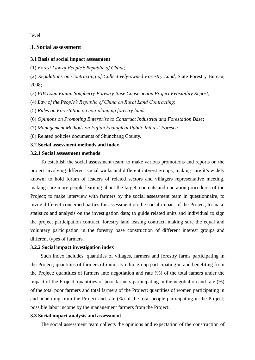<span id="page-14-0"></span>level.

# **3. Social assessment**

#### <span id="page-14-1"></span>**3.1 Basis of social impact assessment**

(1) *Forest Law of People's Republic of China*;

(2) *Regulations on Contracting of Collectively-owned Forestry Land*, State Forestry Bureau, 2008;

(3) *EIB Loan Fujian Soapberry Forestry Base Construction Project Feasibility Report*;

(4) *Law of the People's Republic of China on Rural Land Contracting*;

(5) *Rules on Forestation on non-planning forestry lands*;

(6) *Opinions on Promoting Enterprise to Construct Industrial and Forestation Base*;

(7) *Management Methods on Fujian Ecological Public Interest Forests;*

(8) Related policies documents of Shunchang County.

#### <span id="page-14-2"></span>**3.2 Social assessment methods and index**

#### <span id="page-14-3"></span>**3.2.1 Social assessment methods**

To establish the social assessment team; to make various promotions and reports on the project involving different social walks and different interest groups, making sure it's widely known; to hold forum of leaders of related sectors and villagers representative meeting, making sure more people learning about the target, contents and operation procedures of the Project; to make interview with farmers by the social assessment team in questionnaire, to invite different concerned parties for assessment on the social impact of the Project, to make statistics and analysis on the investigation data; to guide related units and individual to sign the project participation contract, forestry land leasing contract, making sure the equal and voluntary participation in the forestry base construction of different interest groups and different types of farmers.

#### <span id="page-14-4"></span>**3.2.2 Social impact investigation index**

Such index includes: quantities of villages, farmers and forestry farms participating in the Project; quantities of farmers of minority ethic group participating in and benefiting from the Project; quantities of farmers into negotiation and rate (%) of the total famers under the impact of the Project; quantities of poor farmers participating in the negotiation and rate (%) of the total poor farmers and total farmers of the Project; quantities of women participating in and benefiting from the Project and rate (%) of the total people participating in the Project; possible labor income by the management farmers from the Project.

#### **3.3 Social impact analysis and assessment**

The social assessment team collects the opinions and expectation of the construction of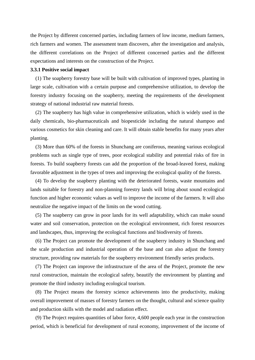the Project by different concerned parties, including farmers of low income, medium farmers, rich farmers and women. The assessment team discovers, after the investigation and analysis, the different correlations on the Project of different concerned parties and the different expectations and interests on the construction of the Project.

#### <span id="page-15-0"></span>**3.3.1 Positive social impact**

(1) The soapberry forestry base will be built with cultivation of improved types, planting in large scale, cultivation with a certain purpose and comprehensive utilization, to develop the forestry industry focusing on the soapberry, meeting the requirements of the development strategy of national industrial raw material forests.

(2) The soapberry has high value in comprehensive utilization, which is widely used in the daily chemicals, bio-pharmaceuticals and biopesticide including the natural shampoo and various cosmetics for skin cleaning and care. It will obtain stable benefits for many years after planting.

(3) More than 60% of the forests in Shunchang are coniferous, meaning various ecological problems such as single type of trees, poor ecological stability and potential risks of fire in forests. To build soapberry forests can add the proportion of the broad-leaved forest, making favorable adjustment in the types of trees and improving the ecological quality of the forests.

(4) To develop the soapberry planting with the deteriorated forests, waste mountains and lands suitable for forestry and non-planning forestry lands will bring about sound ecological function and higher economic values as well to improve the income of the farmers. It will also neutralize the negative impact of the limits on the wood cutting.

(5) The soapberry can grow in poor lands for its well adaptability, which can make sound water and soil conservation, protection on the ecological environment, rich forest resources and landscapes, thus, improving the ecological functions and biodiversity of forests.

(6) The Project can promote the development of the soapberry industry in Shunchang and the scale production and industrial operation of the base and can also adjust the forestry structure, providing raw materials for the soapberry environment friendly series products.

(7) The Project can improve the infrastructure of the area of the Project, promote the new rural construction, maintain the ecological safety, beautify the environment by planting and promote the third industry including ecological tourism.

(8) The Project means the forestry science achievements into the productivity, making overall improvement of masses of forestry farmers on the thought, cultural and science quality and production skills with the model and radiation effect.

(9) The Project requires quantities of labor force, 4,600 people each year in the construction period, which is beneficial for development of rural economy, improvement of the income of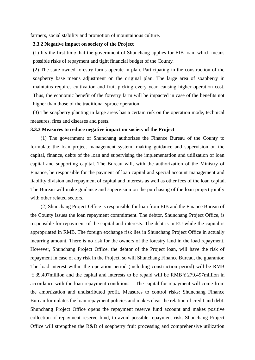farmers, social stability and promotion of mountainous culture.

#### **3.3.2 Negative impact on society of the Project**

(1) It's the first time that the government of Shunchang applies for EIB loan, which means possible risks of repayment and tight financial budget of the County.

(2) The state-owned forestry farms operate in plan. Participating in the construction of the soapberry base means adjustment on the original plan. The large area of soapberry in maintains requires cultivation and fruit picking every year, causing higher operation cost. Thus, the economic benefit of the forestry farm will be impacted in case of the benefits not higher than those of the traditional spruce operation.

(3) The soapberry planting in large areas has a certain risk on the operation mode, technical measures, fires and diseases and pests.

#### <span id="page-16-0"></span>**3.3.3 Measures to reduce negative impact on society of the Project**

(1) The government of Shunchang authorizes the Finance Bureau of the County to formulate the loan project management system, making guidance and supervision on the capital, finance, debts of the loan and supervising the implementation and utilization of loan capital and supporting capital. The Bureau will, with the authorization of the Ministry of Finance, be responsible for the payment of loan capital and special account management and liability division and repayment of capital and interests as well as other fees of the loan capital. The Bureau will make guidance and supervision on the purchasing of the loan project jointly with other related sectors.

(2) Shunchang Project Office is responsible for loan from EIB and the Finance Bureau of the County issues the loan repayment commitment. The debtor, Shunchang Project Office, is responsible for repayment of the capital and interests. The debt is in EU while the capital is appropriated in RMB. The foreign exchange risk lies in Shunchang Project Office in actually incurring amount. There is no risk for the owners of the forestry land in the load repayment. However, Shunchang Project Office, the debtor of the Project loan, will have the risk of repayment in case of any risk in the Project, so will Shunchang Finance Bureau, the guarantor. The load interest within the operation period (including construction period) will be RMB ¥39.497million and the capital and interests to be repaid will be RMB¥279.497million in accordance with the loan repayment conditions. The capital for repayment will come from the amortization and undistributed profit. Measures to control risks: Shunchang Finance Bureau formulates the loan repayment policies and makes clear the relation of credit and debt. Shunchang Project Office opens the repayment reserve fund account and makes positive collection of repayment reserve fund, to avoid possible repayment risk. Shunchang Project Office will strengthen the R&D of soapberry fruit processing and comprehensive utilization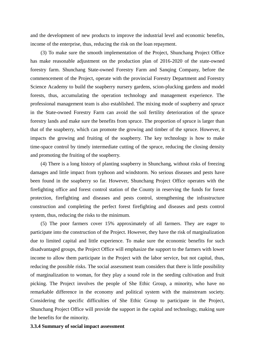and the development of new products to improve the industrial level and economic benefits, income of the enterprise, thus, reducing the risk on the loan repayment.

(3) To make sure the smooth implementation of the Project, Shunchang Project Office has make reasonable adjustment on the production plan of 2016-2020 of the state-owned forestry farm. Shunchang State-owned Forestry Farm and Sanqing Company, before the commencement of the Project, operate with the provincial Forestry Department and Forestry Science Academy to build the soapberry nursery gardens, scion-plucking gardens and model forests, thus, accumulating the operation technology and management experience. The professional management team is also established. The mixing mode of soapberry and spruce in the State-owned Forestry Farm can avoid the soil fertility deterioration of the spruce forestry lands and make sure the benefits from spruce. The proportion of spruce is larger than that of the soapberry, which can promote the growing and timber of the spruce. However, it impacts the growing and fruiting of the soapberry. The key technology is how to make time-space control by timely intermediate cutting of the spruce, reducing the closing density and promoting the fruiting of the soapberry.

(4) There is a long history of planting soapberry in Shunchang, without risks of freezing damages and little impact from typhoon and windstorm. No serious diseases and pests have been found in the soapberry so far. However, Shunchang Project Office operates with the firefighting office and forest control station of the County in reserving the funds for forest protection, firefighting and diseases and pests control, strengthening the infrastructure construction and completing the perfect forest firefighting and diseases and pests control system, thus, reducing the risks to the minimum.

(5) The poor farmers cover 15% approximately of all farmers. They are eager to participate into the construction of the Project. However, they have the risk of marginalization due to limited capital and little experience. To make sure the economic benefits for such disadvantaged groups, the Project Office will emphasize the support to the farmers with lower income to allow them participate in the Project with the labor service, but not capital, thus, reducing the possible risks. The social assessment team considers that there is little possibility of marginalization to woman, for they play a sound role in the seeding cultivation and fruit picking. The Project involves the people of She Ethic Group, a minority, who have no remarkable difference in the economy and political system with the mainstream society. Considering the specific difficulties of She Ethic Group to participate in the Project, Shunchang Project Office will provide the support in the capital and technology, making sure the benefits for the minority.

#### <span id="page-17-0"></span>**3.3.4 Summary of social impact assessment**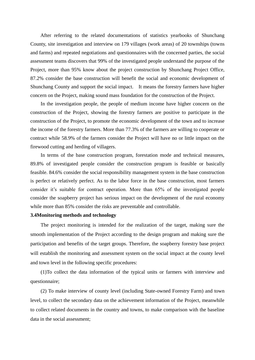After referring to the related documentations of statistics yearbooks of Shunchang County, site investigation and interview on 179 villages (work areas) of 20 townships (towns and farms) and repeated negotiations and questionnaires with the concerned parties, the social assessment teams discovers that 99% of the investigated people understand the purpose of the Project, more than 95% know about the project construction by Shunchang Project Office, 87.2% consider the base construction will benefit the social and economic development of Shunchang County and support the social impact. It means the forestry farmers have higher concern on the Project, making sound mass foundation for the construction of the Project.

In the investigation people, the people of medium income have higher concern on the construction of the Project, showing the forestry farmers are positive to participate in the construction of the Project, to promote the economic development of the town and to increase the income of the forestry farmers. More than 77.3% of the farmers are willing to cooperate or contract while 58.9% of the farmers consider the Project will have no or little impact on the firewood cutting and herding of villagers.

In terms of the base construction program, forestation mode and technical measures, 89.8% of investigated people consider the construction program is feasible or basically feasible. 84.6% consider the social responsibility management system in the base construction is perfect or relatively perfect. As to the labor force in the base construction, most farmers consider it's suitable for contract operation. More than 65% of the investigated people consider the soapberry project has serious impact on the development of the rural economy while more than 85% consider the risks are preventable and controllable.

#### <span id="page-18-0"></span>**3.4Monitoring methods and technology**

The project monitoring is intended for the realization of the target, making sure the smooth implementation of the Project according to the design program and making sure the participation and benefits of the target groups. Therefore, the soapberry forestry base project will establish the monitoring and assessment system on the social impact at the county level and town level in the following specific procedures:

(1)To collect the data information of the typical units or farmers with interview and questionnaire;

(2) To make interview of county level (including State-owned Forestry Farm) and town level, to collect the secondary data on the achievement information of the Project, meanwhile to collect related documents in the country and towns, to make comparison with the baseline data in the social assessment;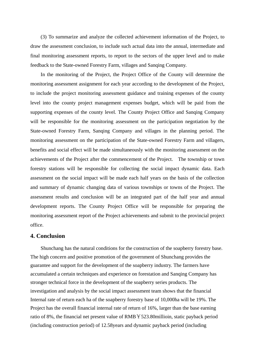(3) To summarize and analyze the collected achievement information of the Project, to draw the assessment conclusion, to include such actual data into the annual, intermediate and final monitoring assessment reports, to report to the sectors of the upper level and to make feedback to the State-owned Forestry Farm, villages and Sanqing Company.

In the monitoring of the Project, the Project Office of the County will determine the monitoring assessment assignment for each year according to the development of the Project, to include the project monitoring assessment guidance and training expenses of the county level into the county project management expenses budget, which will be paid from the supporting expenses of the county level. The County Project Office and Sanqing Company will be responsible for the monitoring assessment on the participation negotiation by the State-owned Forestry Farm, Sanqing Company and villages in the planning period. The monitoring assessment on the participation of the State-owned Forestry Farm and villagers, benefits and social effect will be made simultaneously with the monitoring assessment on the achievements of the Project after the commencement of the Project. The township or town forestry stations will be responsible for collecting the social impact dynamic data. Each assessment on the social impact will be made each half years on the basis of the collection and summary of dynamic changing data of various townships or towns of the Project. The assessment results and conclusion will be an integrated part of the half year and annual development reports. The County Project Office will be responsible for preparing the monitoring assessment report of the Project achievements and submit to the provincial project office.

## <span id="page-19-0"></span>**4. Conclusion**

Shunchang has the natural conditions for the construction of the soapberry forestry base. The high concern and positive promotion of the government of Shunchang provides the guarantee and support for the development of the soapberry industry. The farmers have accumulated a certain techniques and experience on forestation and Sanqing Company has stronger technical force in the development of the soapberry series products. The investigation and analysis by the social impact assessment team shows that the financial Internal rate of return each ha of the soapberry forestry base of 10,000ha will be 19%. The Project has the overall financial internal rate of return of 16%, larger than the base earning ratio of 8%, the financial net present value of RMB¥523.80millioin, static payback period (including construction period) of 12.58years and dynamic payback period (including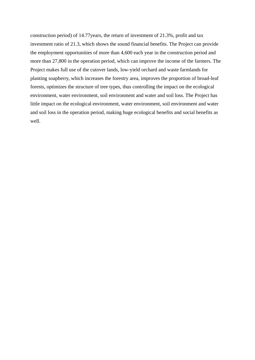construction period) of 14.77years, the return of investment of 21.3%, profit and tax investment ratio of 21.3, which shows the sound financial benefits. The Project can provide the employment opportunities of more than 4,600 each year in the construction period and more than 27,800 in the operation period, which can improve the income of the farmers. The Project makes full use of the cutover lands, low-yield orchard and waste farmlands for planting soapberry, which increases the forestry area, improves the proportion of broad-leaf forests, optimizes the structure of tree types, thus controlling the impact on the ecological environment, water environment, soil environment and water and soil loss. The Project has little impact on the ecological environment, water environment, soil environment and water and soil loss in the operation period, making huge ecological benefits and social benefits as well.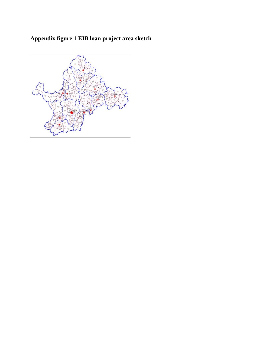# <span id="page-21-0"></span>**Appendix figure 1 EIB loan project area sketch**